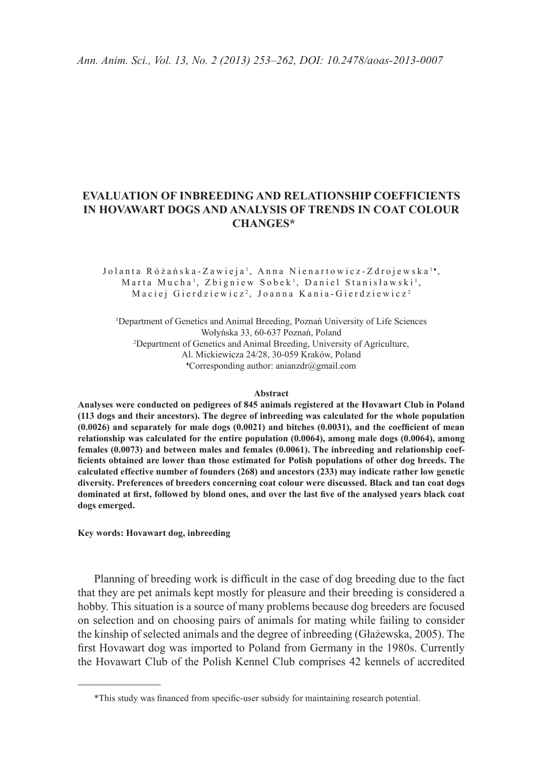# **Evaluation of inbreeding and relationship coefficients in Hovawart dogs and analysis of trends in coat colour changes\* \***

Jolanta Różańska-Zawieja<sup>1</sup>, Anna Nienartowicz-Zdrojewska<sup>1</sup>\*, Marta Mucha<sup>1</sup>, Zbigniew Sobek<sup>1</sup>, Daniel Stanisławski<sup>1</sup>, Maciej Gierdziewicz<sup>2</sup>, Joanna Kania-Gierdziewicz<sup>2</sup>

1 Department of Genetics and Animal Breeding, Poznań University of Life Sciences Wołyńska 33, 60-637 Poznań, Poland 2 Department of Genetics and Animal Breeding, University of Agriculture, Al. Mickiewicza 24/28, 30-059 Kraków, Poland ♦ Corresponding author: anianzdr@gmail.com

#### **Abstract**

**Analyses were conducted on pedigrees of 845 animals registered at the Hovawart Club in Poland (113 dogs and their ancestors). The degree of inbreeding was calculated for the whole population (0.0026) and separately for male dogs (0.0021) and bitches (0.0031), and the coefficient of mean relationship was calculated for the entire population (0.0064), among male dogs (0.0064), among females (0.0073) and between males and females (0.0061). The inbreeding and relationship coefficients obtained are lower than those estimated for Polish populations of other dog breeds. The calculated effective number of founders (268) and ancestors (233) may indicate rather low genetic diversity. Preferences of breeders concerning coat colour were discussed. Black and tan coat dogs dominated at first, followed by blond ones, and over the last five of the analysed years black coat dogs emerged.** 

**Key words: Hovawart dog, inbreeding**

Planning of breeding work is difficult in the case of dog breeding due to the fact that they are pet animals kept mostly for pleasure and their breeding is considered a hobby. This situation is a source of many problems because dog breeders are focused on selection and on choosing pairs of animals for mating while failing to consider the kinship of selected animals and the degree of inbreeding (Głażewska, 2005). The first Hovawart dog was imported to Poland from Germany in the 1980s. Currently the Hovawart Club of the Polish Kennel Club comprises 42 kennels of accredited

<sup>\*</sup>This study was financed from specific-user subsidy for maintaining research potential.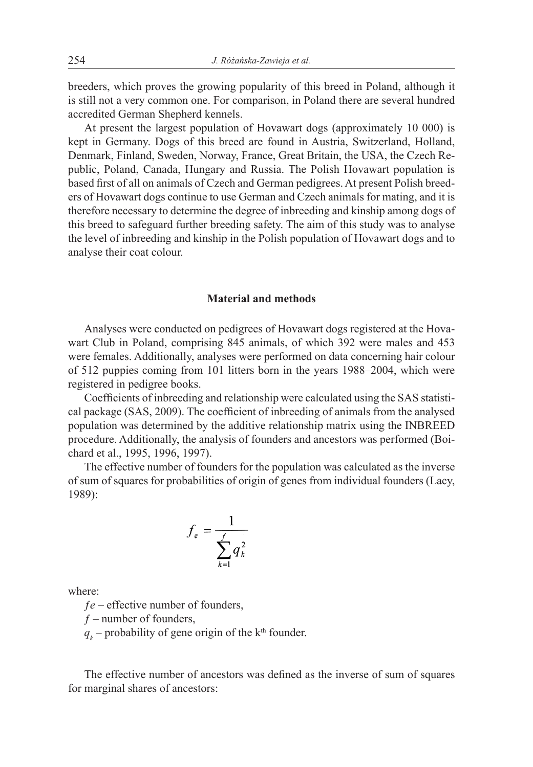breeders, which proves the growing popularity of this breed in Poland, although it is still not a very common one. For comparison, in Poland there are several hundred accredited German Shepherd kennels.

At present the largest population of Hovawart dogs (approximately 10 000) is kept in Germany. Dogs of this breed are found in Austria, Switzerland, Holland, Denmark, Finland, Sweden, Norway, France, Great Britain, the USA, the Czech Republic, Poland, Canada, Hungary and Russia. The Polish Hovawart population is based first of all on animals of Czech and German pedigrees. At present Polish breeders of Hovawart dogs continue to use German and Czech animals for mating, and it is therefore necessary to determine the degree of inbreeding and kinship among dogs of this breed to safeguard further breeding safety. The aim of this study was to analyse the level of inbreeding and kinship in the Polish population of Hovawart dogs and to analyse their coat colour.

# **Material and methods**

Analyses were conducted on pedigrees of Hovawart dogs registered at the Hovawart Club in Poland, comprising 845 animals, of which 392 were males and 453 were females. Additionally, analyses were performed on data concerning hair colour of 512 puppies coming from 101 litters born in the years 1988–2004, which were registered in pedigree books.

Coefficients of inbreeding and relationship were calculated using the SAS statistical package (SAS, 2009). The coefficient of inbreeding of animals from the analysed population was determined by the additive relationship matrix using the INBREED procedure. Additionally, the analysis of founders and ancestors was performed (Boichard et al., 1995, 1996, 1997).

The effective number of founders for the population was calculated as the inverse of sum of squares for probabilities of origin of genes from individual founders (Lacy, 1989):

$$
f_e = \frac{1}{\sum_{k=1}^f q_k^2}
$$

where:

*ƒe* – effective number of founders,

*ƒ* – number of founders,

 $q_k$  – probability of gene origin of the k<sup>th</sup> founder.

The effective number of ancestors was defined as the inverse of sum of squares for marginal shares of ancestors: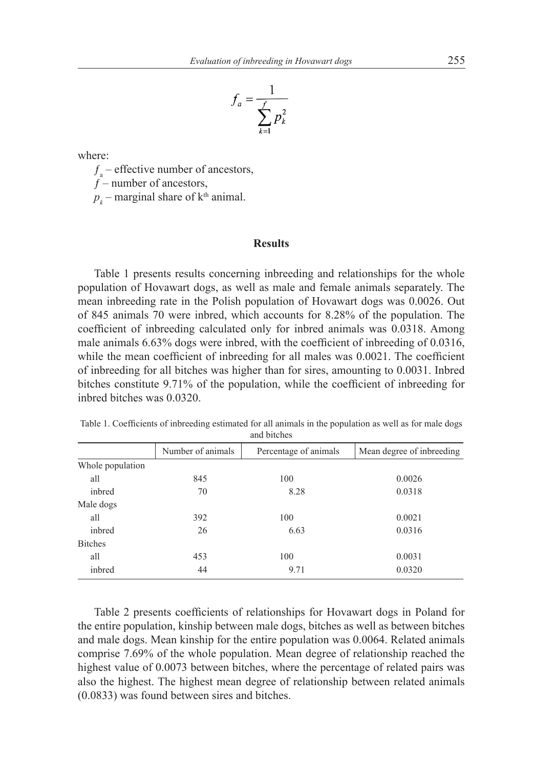$$
f_a = \frac{1}{\sum_{k=1}^f p_k^2}
$$

where:

 $f_{\rm a}$  – effective number of ancestors,

 $f$  – number of ancestors,

 $p_k$  – marginal share of k<sup>th</sup> animal.

# **Results**

Table 1 presents results concerning inbreeding and relationships for the whole population of Hovawart dogs, as well as male and female animals separately. The mean inbreeding rate in the Polish population of Hovawart dogs was 0.0026. Out of 845 animals 70 were inbred, which accounts for 8.28% of the population. The coefficient of inbreeding calculated only for inbred animals was 0.0318. Among male animals 6.63% dogs were inbred, with the coefficient of inbreeding of 0.0316, while the mean coefficient of inbreeding for all males was 0.0021. The coefficient of inbreeding for all bitches was higher than for sires, amounting to 0.0031. Inbred bitches constitute 9.71% of the population, while the coefficient of inbreeding for inbred bitches was 0.0320.

|                  | Number of animals | Percentage of animals | Mean degree of inbreeding |
|------------------|-------------------|-----------------------|---------------------------|
| Whole population |                   |                       |                           |
| all              | 845               | 100                   | 0.0026                    |
| inbred           | 70                | 8.28                  | 0.0318                    |
| Male dogs        |                   |                       |                           |
| all              | 392               | 100                   | 0.0021                    |
| inbred           | 26                | 6.63                  | 0.0316                    |
| <b>Bitches</b>   |                   |                       |                           |
| all              | 453               | 100                   | 0.0031                    |
| inbred           | 44                | 9.71                  | 0.0320                    |

Table 1. Coefficients of inbreeding estimated for all animals in the population as well as for male dogs and bitches

Table 2 presents coefficients of relationships for Hovawart dogs in Poland for the entire population, kinship between male dogs, bitches as well as between bitches and male dogs. Mean kinship for the entire population was 0.0064. Related animals comprise 7.69% of the whole population. Mean degree of relationship reached the highest value of 0.0073 between bitches, where the percentage of related pairs was also the highest. The highest mean degree of relationship between related animals (0.0833) was found between sires and bitches.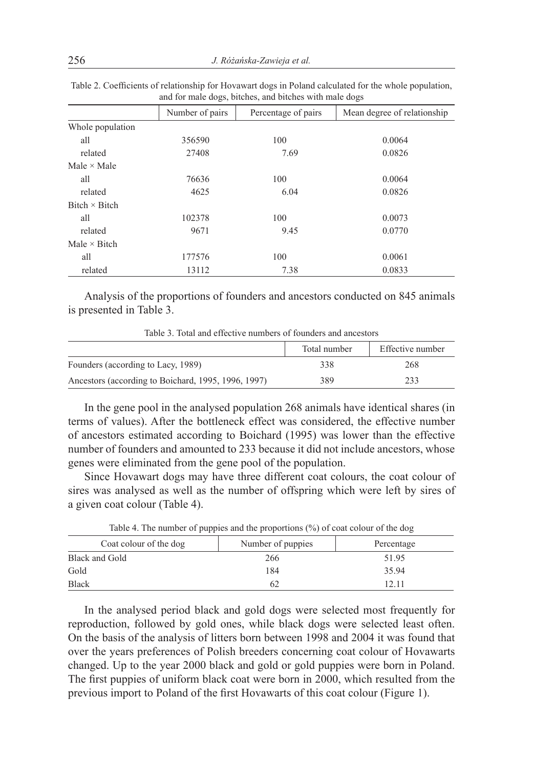|                      | Number of pairs | Percentage of pairs | Mean degree of relationship |
|----------------------|-----------------|---------------------|-----------------------------|
| Whole population     |                 |                     |                             |
| all                  | 356590          | 100                 | 0.0064                      |
| related              | 27408           | 7.69                | 0.0826                      |
| Male $\times$ Male   |                 |                     |                             |
| all                  | 76636           | 100                 | 0.0064                      |
| related              | 4625            | 6.04                | 0.0826                      |
| $Bitch \times Bitch$ |                 |                     |                             |
| all                  | 102378          | 100                 | 0.0073                      |
| related              | 9671            | 9.45                | 0.0770                      |
| Male $\times$ Bitch  |                 |                     |                             |
| all                  | 177576          | 100                 | 0.0061                      |
| related              | 13112           | 7.38                | 0.0833                      |

Table 2. Coefficients of relationship for Hovawart dogs in Poland calculated for the whole population, and for male dogs, bitches, and bitches with male dogs

Analysis of the proportions of founders and ancestors conducted on 845 animals is presented in Table 3.

Table 3. Total and effective numbers of founders and ancestors

|                                                     | Total number | Effective number |
|-----------------------------------------------------|--------------|------------------|
| Founders (according to Lacy, 1989)                  | 338          | 268              |
| Ancestors (according to Boichard, 1995, 1996, 1997) | 389          | 233              |

In the gene pool in the analysed population 268 animals have identical shares (in terms of values). After the bottleneck effect was considered, the effective number of ancestors estimated according to Boichard (1995) was lower than the effective number of founders and amounted to 233 because it did not include ancestors, whose genes were eliminated from the gene pool of the population.

Since Hovawart dogs may have three different coat colours, the coat colour of sires was analysed as well as the number of offspring which were left by sires of a given coat colour (Table 4).

| Coat colour of the dog | Number of puppies | Percentage |
|------------------------|-------------------|------------|
| Black and Gold         | 266               | 51.95      |
| Gold                   | 184               | 35.94      |
| <b>Black</b>           | 62                | 12.11      |

Table 4. The number of puppies and the proportions (%) of coat colour of the dog

In the analysed period black and gold dogs were selected most frequently for reproduction, followed by gold ones, while black dogs were selected least often. On the basis of the analysis of litters born between 1998 and 2004 it was found that over the years preferences of Polish breeders concerning coat colour of Hovawarts changed. Up to the year 2000 black and gold or gold puppies were born in Poland. The first puppies of uniform black coat were born in 2000, which resulted from the previous import to Poland of the first Hovawarts of this coat colour (Figure 1).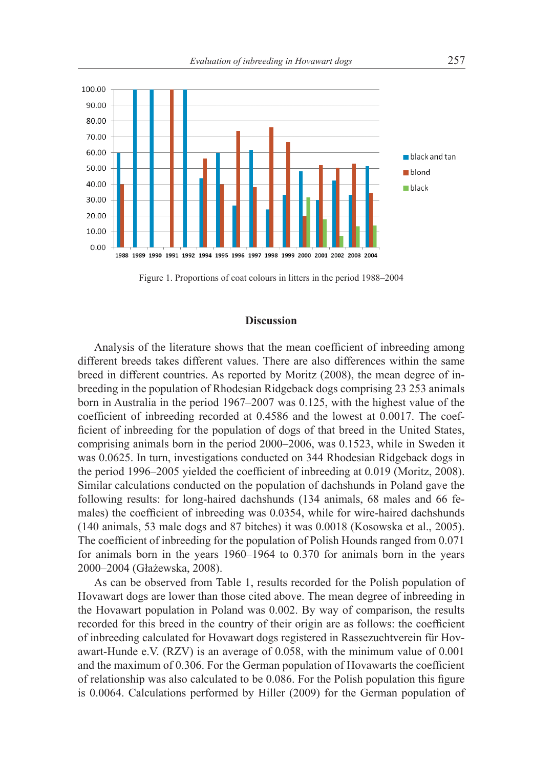

Figure 1. Proportions of coat colours in litters in the period 1988–2004

# **Discussion**

Analysis of the literature shows that the mean coefficient of inbreeding among different breeds takes different values. There are also differences within the same breed in different countries. As reported by Moritz (2008), the mean degree of inbreeding in the population of Rhodesian Ridgeback dogs comprising 23 253 animals born in Australia in the period 1967–2007 was 0.125, with the highest value of the coefficient of inbreeding recorded at 0.4586 and the lowest at 0.0017. The coefficient of inbreeding for the population of dogs of that breed in the United States, comprising animals born in the period 2000–2006, was 0.1523, while in Sweden it was 0.0625. In turn, investigations conducted on 344 Rhodesian Ridgeback dogs in the period 1996–2005 yielded the coefficient of inbreeding at 0.019 (Moritz, 2008). Similar calculations conducted on the population of dachshunds in Poland gave the following results: for long-haired dachshunds (134 animals, 68 males and 66 females) the coefficient of inbreeding was 0.0354, while for wire-haired dachshunds (140 animals, 53 male dogs and 87 bitches) it was 0.0018 (Kosowska et al., 2005). The coefficient of inbreeding for the population of Polish Hounds ranged from 0.071 for animals born in the years 1960–1964 to 0.370 for animals born in the years 2000–2004 (Głażewska, 2008).

As can be observed from Table 1, results recorded for the Polish population of Hovawart dogs are lower than those cited above. The mean degree of inbreeding in the Hovawart population in Poland was 0.002. By way of comparison, the results recorded for this breed in the country of their origin are as follows: the coefficient of inbreeding calculated for Hovawart dogs registered in Rassezuchtverein für Hovawart-Hunde e.V. (RZV) is an average of 0.058, with the minimum value of 0.001 and the maximum of 0.306. For the German population of Hovawarts the coefficient of relationship was also calculated to be 0.086. For the Polish population this figure is 0.0064. Calculations performed by Hiller (2009) for the German population of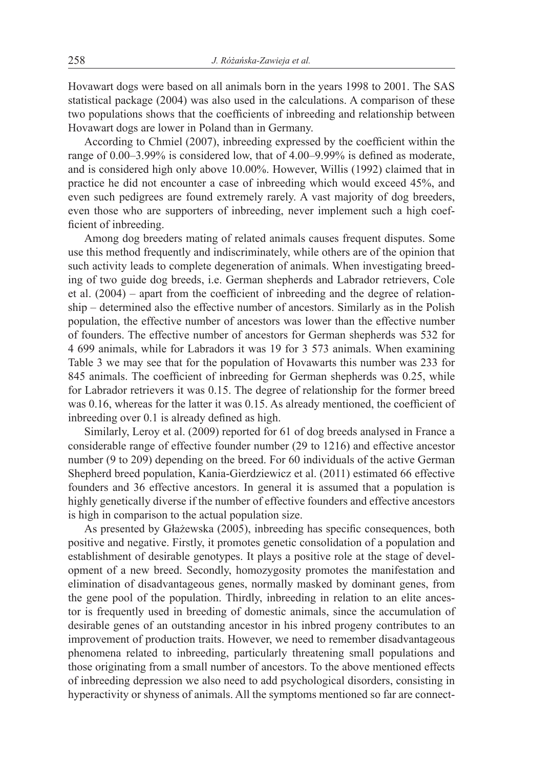Hovawart dogs were based on all animals born in the years 1998 to 2001. The SAS statistical package (2004) was also used in the calculations. A comparison of these two populations shows that the coefficients of inbreeding and relationship between Hovawart dogs are lower in Poland than in Germany.

According to Chmiel (2007), inbreeding expressed by the coefficient within the range of 0.00–3.99% is considered low, that of 4.00–9.99% is defined as moderate, and is considered high only above 10.00%. However, Willis (1992) claimed that in practice he did not encounter a case of inbreeding which would exceed 45%, and even such pedigrees are found extremely rarely. A vast majority of dog breeders, even those who are supporters of inbreeding, never implement such a high coefficient of inbreeding.

Among dog breeders mating of related animals causes frequent disputes. Some use this method frequently and indiscriminately, while others are of the opinion that such activity leads to complete degeneration of animals. When investigating breeding of two guide dog breeds, i.e. German shepherds and Labrador retrievers, Cole et al. (2004) – apart from the coefficient of inbreeding and the degree of relationship – determined also the effective number of ancestors. Similarly as in the Polish population, the effective number of ancestors was lower than the effective number of founders. The effective number of ancestors for German shepherds was 532 for 4 699 animals, while for Labradors it was 19 for 3 573 animals. When examining Table 3 we may see that for the population of Hovawarts this number was 233 for 845 animals. The coefficient of inbreeding for German shepherds was 0.25, while for Labrador retrievers it was 0.15. The degree of relationship for the former breed was 0.16, whereas for the latter it was 0.15. As already mentioned, the coefficient of inbreeding over 0.1 is already defined as high.

Similarly, Leroy et al. (2009) reported for 61 of dog breeds analysed in France a considerable range of effective founder number (29 to 1216) and effective ancestor number (9 to 209) depending on the breed. For 60 individuals of the active German Shepherd breed population, Kania-Gierdziewicz et al. (2011) estimated 66 effective founders and 36 effective ancestors. In general it is assumed that a population is highly genetically diverse if the number of effective founders and effective ancestors is high in comparison to the actual population size.

As presented by Głażewska (2005), inbreeding has specific consequences, both positive and negative. Firstly, it promotes genetic consolidation of a population and establishment of desirable genotypes. It plays a positive role at the stage of development of a new breed. Secondly, homozygosity promotes the manifestation and elimination of disadvantageous genes, normally masked by dominant genes, from the gene pool of the population. Thirdly, inbreeding in relation to an elite ancestor is frequently used in breeding of domestic animals, since the accumulation of desirable genes of an outstanding ancestor in his inbred progeny contributes to an improvement of production traits. However, we need to remember disadvantageous phenomena related to inbreeding, particularly threatening small populations and those originating from a small number of ancestors. To the above mentioned effects of inbreeding depression we also need to add psychological disorders, consisting in hyperactivity or shyness of animals. All the symptoms mentioned so far are connect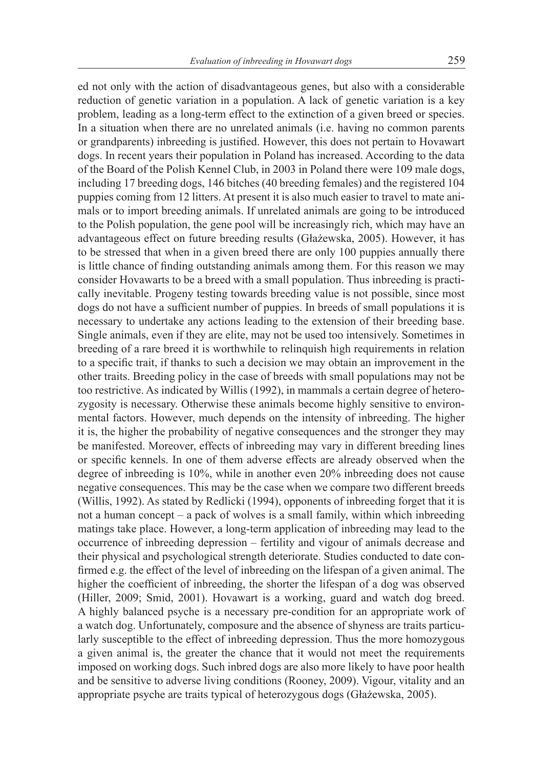ed not only with the action of disadvantageous genes, but also with a considerable reduction of genetic variation in a population. A lack of genetic variation is a key problem, leading as a long-term effect to the extinction of a given breed or species. In a situation when there are no unrelated animals (i.e. having no common parents or grandparents) inbreeding is justified. However, this does not pertain to Hovawart dogs. In recent years their population in Poland has increased. According to the data of the Board of the Polish Kennel Club, in 2003 in Poland there were 109 male dogs, including 17 breeding dogs, 146 bitches (40 breeding females) and the registered 104 puppies coming from 12 litters. At present it is also much easier to travel to mate animals or to import breeding animals. If unrelated animals are going to be introduced to the Polish population, the gene pool will be increasingly rich, which may have an advantageous effect on future breeding results (Głażewska, 2005). However, it has to be stressed that when in a given breed there are only 100 puppies annually there is little chance of finding outstanding animals among them. For this reason we may consider Hovawarts to be a breed with a small population. Thus inbreeding is practi-

cally inevitable. Progeny testing towards breeding value is not possible, since most dogs do not have a sufficient number of puppies. In breeds of small populations it is necessary to undertake any actions leading to the extension of their breeding base. Single animals, even if they are elite, may not be used too intensively. Sometimes in breeding of a rare breed it is worthwhile to relinquish high requirements in relation to a specific trait, if thanks to such a decision we may obtain an improvement in the other traits. Breeding policy in the case of breeds with small populations may not be too restrictive. As indicated by Willis (1992), in mammals a certain degree of heterozygosity is necessary. Otherwise these animals become highly sensitive to environmental factors. However, much depends on the intensity of inbreeding. The higher it is, the higher the probability of negative consequences and the stronger they may be manifested. Moreover, effects of inbreeding may vary in different breeding lines or specific kennels. In one of them adverse effects are already observed when the degree of inbreeding is 10%, while in another even 20% inbreeding does not cause negative consequences. This may be the case when we compare two different breeds (Willis, 1992). As stated by Redlicki (1994), opponents of inbreeding forget that it is not a human concept – a pack of wolves is a small family, within which inbreeding matings take place. However, a long-term application of inbreeding may lead to the occurrence of inbreeding depression – fertility and vigour of animals decrease and their physical and psychological strength deteriorate. Studies conducted to date confirmed e.g. the effect of the level of inbreeding on the lifespan of a given animal. The higher the coefficient of inbreeding, the shorter the lifespan of a dog was observed (Hiller, 2009; Smid, 2001). Hovawart is a working, guard and watch dog breed. A highly balanced psyche is a necessary pre-condition for an appropriate work of a watch dog. Unfortunately, composure and the absence of shyness are traits particularly susceptible to the effect of inbreeding depression. Thus the more homozygous a given animal is, the greater the chance that it would not meet the requirements imposed on working dogs. Such inbred dogs are also more likely to have poor health and be sensitive to adverse living conditions (Rooney, 2009). Vigour, vitality and an appropriate psyche are traits typical of heterozygous dogs (Głażewska, 2005).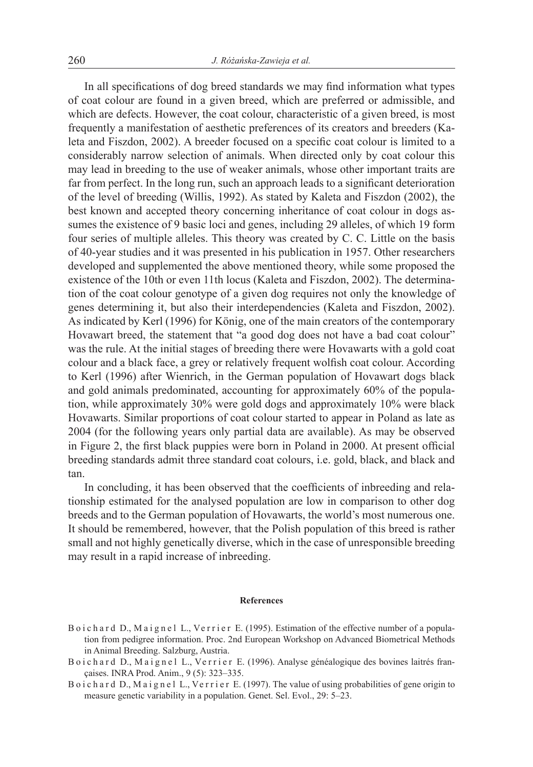In all specifications of dog breed standards we may find information what types of coat colour are found in a given breed, which are preferred or admissible, and which are defects. However, the coat colour, characteristic of a given breed, is most frequently a manifestation of aesthetic preferences of its creators and breeders (Kaleta and Fiszdon, 2002). A breeder focused on a specific coat colour is limited to a considerably narrow selection of animals. When directed only by coat colour this may lead in breeding to the use of weaker animals, whose other important traits are far from perfect. In the long run, such an approach leads to a significant deterioration of the level of breeding (Willis, 1992). As stated by Kaleta and Fiszdon (2002), the best known and accepted theory concerning inheritance of coat colour in dogs assumes the existence of 9 basic loci and genes, including 29 alleles, of which 19 form four series of multiple alleles. This theory was created by C. C. Little on the basis of 40-year studies and it was presented in his publication in 1957. Other researchers developed and supplemented the above mentioned theory, while some proposed the existence of the 10th or even 11th locus (Kaleta and Fiszdon, 2002). The determination of the coat colour genotype of a given dog requires not only the knowledge of genes determining it, but also their interdependencies (Kaleta and Fiszdon, 2002). As indicated by Kerl (1996) for König, one of the main creators of the contemporary Hovawart breed, the statement that "a good dog does not have a bad coat colour" was the rule. At the initial stages of breeding there were Hovawarts with a gold coat colour and a black face, a grey or relatively frequent wolfish coat colour. According to Kerl (1996) after Wienrich, in the German population of Hovawart dogs black and gold animals predominated, accounting for approximately 60% of the population, while approximately 30% were gold dogs and approximately 10% were black Hovawarts. Similar proportions of coat colour started to appear in Poland as late as 2004 (for the following years only partial data are available). As may be observed in Figure 2, the first black puppies were born in Poland in 2000. At present official breeding standards admit three standard coat colours, i.e. gold, black, and black and tan.

In concluding, it has been observed that the coefficients of inbreeding and relationship estimated for the analysed population are low in comparison to other dog breeds and to the German population of Hovawarts, the world's most numerous one. It should be remembered, however, that the Polish population of this breed is rather small and not highly genetically diverse, which in the case of unresponsible breeding may result in a rapid increase of inbreeding.

#### **References**

B o i c h a r d D., M a i g n e l L., Verrier E. (1997). The value of using probabilities of gene origin to measure genetic variability in a population. Genet. Sel. Evol., 29: 5–23.

B o i c h a r d D., M a i g n e l L., Verrier E. (1995). Estimation of the effective number of a population from pedigree information. Proc. 2nd European Workshop on Advanced Biometrical Methods in Animal Breeding. Salzburg, Austria.

B o i c h a r d D., M a i g n e l L., Ve r r i e r E. (1996). Analyse généalogique des bovines laitrés françaises. INRA Prod. Anim., 9 (5): 323–335.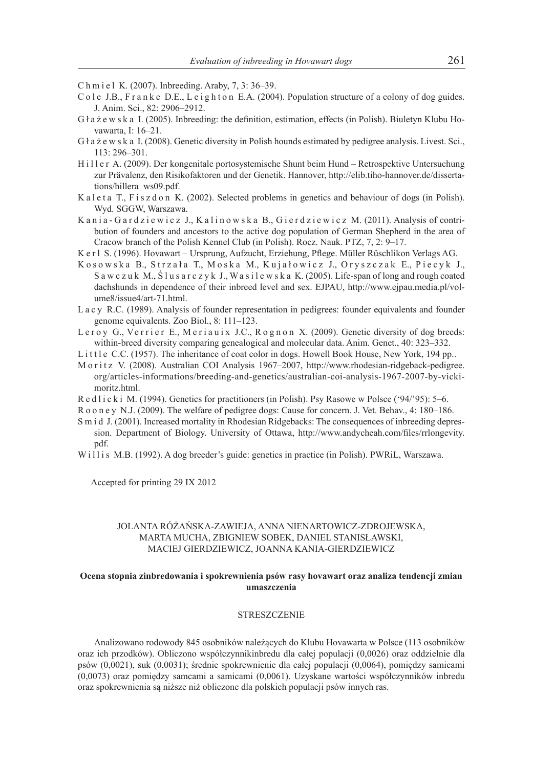C h m i e l K. (2007). Inbreeding. Araby, 7, 3: 36–39.

- C o l e J.B., F r a n k e D.E., L e i g h t o n E.A. (2004). Population structure of a colony of dog guides. J. Anim. Sci., 82: 2906–2912.
- G ł a ż e w s k a I. (2005). Inbreeding: the definition, estimation, effects (in Polish). Biuletyn Klubu Hovawarta, I: 16–21.
- G ł a ż e w s k a I. (2008). Genetic diversity in Polish hounds estimated by pedigree analysis. Livest. Sci., 113: 296–301.
- H i l l e r A. (2009). Der kongenitale portosystemische Shunt beim Hund Retrospektive Untersuchung zur Prävalenz, den Risikofaktoren und der Genetik. Hannover, http://elib.tiho-hannover.de/dissertations/hillera\_ws09.pdf.
- K a l e t a T., F i s z d o n K. (2002). Selected problems in genetics and behaviour of dogs (in Polish). Wyd. SGGW, Warszawa.
- Kania-Gardziewicz J., Kalinowska B., Gierdziewicz M. (2011). Analysis of contribution of founders and ancestors to the active dog population of German Shepherd in the area of Cracow branch of the Polish Kennel Club (in Polish). Rocz. Nauk. PTZ, 7, 2: 9–17.
- K e r l S. (1996). Hovawart Ursprung, Aufzucht, Erziehung, Pflege. Müller Rüschlikon Verlags AG.
- Kosowska B., Strzała T., Moska M., Kujałowicz J., Oryszczak E., Piecyk J., S a w c z u k M., Ś l u s a r c z y k J., W a s i l e w s k a K. (2005). Life-span of long and rough coated dachshunds in dependence of their inbreed level and sex. EJPAU, http://www.ejpau.media.pl/volume8/issue4/art-71.html.
- L a c y R.C. (1989). Analysis of founder representation in pedigrees: founder equivalents and founder genome equivalents. Zoo Biol., 8: 111–123.
- Le roy G., Verrier E., Meriauix J.C., Rognon X. (2009). Genetic diversity of dog breeds: within-breed diversity comparing genealogical and molecular data. Anim. Genet., 40: 323–332.
- Little C.C. (1957). The inheritance of coat color in dogs. Howell Book House, New York, 194 pp..
- M o r i t z V. (2008). Australian COI Analysis 1967–2007, http://www.rhodesian-ridgeback-pedigree. org/articles-informations/breeding-and-genetics/australian-coi-analysis-1967-2007-by-vickimoritz html.
- R e d l i c k i M. (1994). Genetics for practitioners (in Polish). Psy Rasowe w Polsce ('94/'95): 5–6.
- R o o n e y N.J. (2009). The welfare of pedigree dogs: Cause for concern. J. Vet. Behav., 4: 180–186.
- S m i d J. (2001). Increased mortality in Rhodesian Ridgebacks: The consequences of inbreeding depression. Department of Biology. University of Ottawa, http://www.andycheah.com/files/rrlongevity. pdf.
- Willis M.B. (1992). A dog breeder's guide: genetics in practice (in Polish). PWRiL, Warszawa.

Accepted for printing 29 IX 2012

### Jolanta Różańska-Zawieja, Anna Nienartowicz-Zdrojewska, Marta Mucha, Zbigniew Sobek, Daniel Stanisławski, Maciej Gierdziewicz, Joanna Kania-Gierdziewicz

### **Ocena stopnia zinbredowania i spokrewnienia psów rasy hovawart oraz analiza tendencji zmian umaszczenia**

## STRESZCZENIE

Analizowano rodowody 845 osobników należących do Klubu Hovawarta w Polsce (113 osobników oraz ich przodków). Obliczono współczynnikinbredu dla całej populacji (0,0026) oraz oddzielnie dla psów (0,0021), suk (0,0031); średnie spokrewnienie dla całej populacji (0,0064), pomiędzy samicami (0,0073) oraz pomiędzy samcami a samicami (0,0061). Uzyskane wartości współczynników inbredu oraz spokrewnienia są niższe niż obliczone dla polskich populacji psów innych ras.